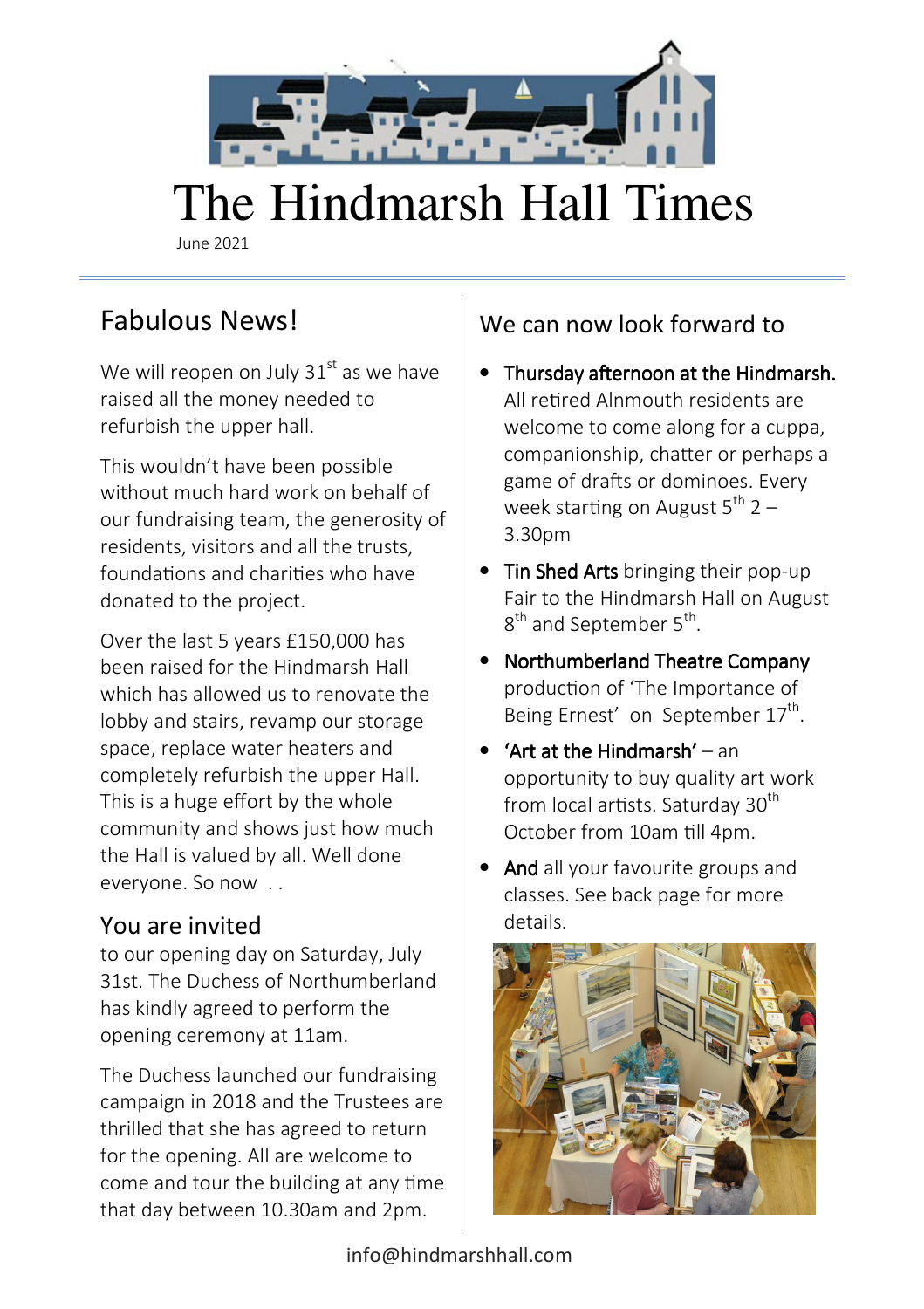

# The Hindmarsh Hall Times

June 2021

# Fabulous News!

We will reopen on July  $31<sup>st</sup>$  as we have raised all the money needed to refurbish the upper hall.

This wouldn't have been possible without much hard work on behalf of our fundraising team, the generosity of residents, visitors and all the trusts, foundations and charities who have donated to the project.

Over the last 5 years £150,000 has been raised for the Hindmarsh Hall which has allowed us to renovate the lobby and stairs, revamp our storage space, replace water heaters and completely refurbish the upper Hall. This is a huge effort by the whole community and shows just how much the Hall is valued by all. Well done everyone. So now . .

#### You are invited

to our opening day on Saturday, July 31st. The Duchess of Northumberland has kindly agreed to perform the opening ceremony at 11am.

The Duchess launched our fundraising campaign in 2018 and the Trustees are thrilled that she has agreed to return for the opening. All are welcome to come and tour the building at any time that day between 10.30am and 2pm.

## We can now look forward to

- Thursday afternoon at the Hindmarsh. All retired Alnmouth residents are welcome to come along for a cuppa, companionship, chatter or perhaps a game of drafts or dominoes. Every week starting on August  $5^{th}$  2 – 3.30pm
- Tin Shed Arts bringing their pop-up Fair to the Hindmarsh Hall on August 8<sup>th</sup> and September 5<sup>th</sup>.
- Northumberland Theatre Company production of 'The Importance of Being Ernest' on September 17<sup>th</sup>.
- 'Art at the Hindmarsh' an opportunity to buy quality art work from local artists. Saturday  $30<sup>th</sup>$ October from 10am till 4pm.
- And all your favourite groups and classes. See back page for more details.

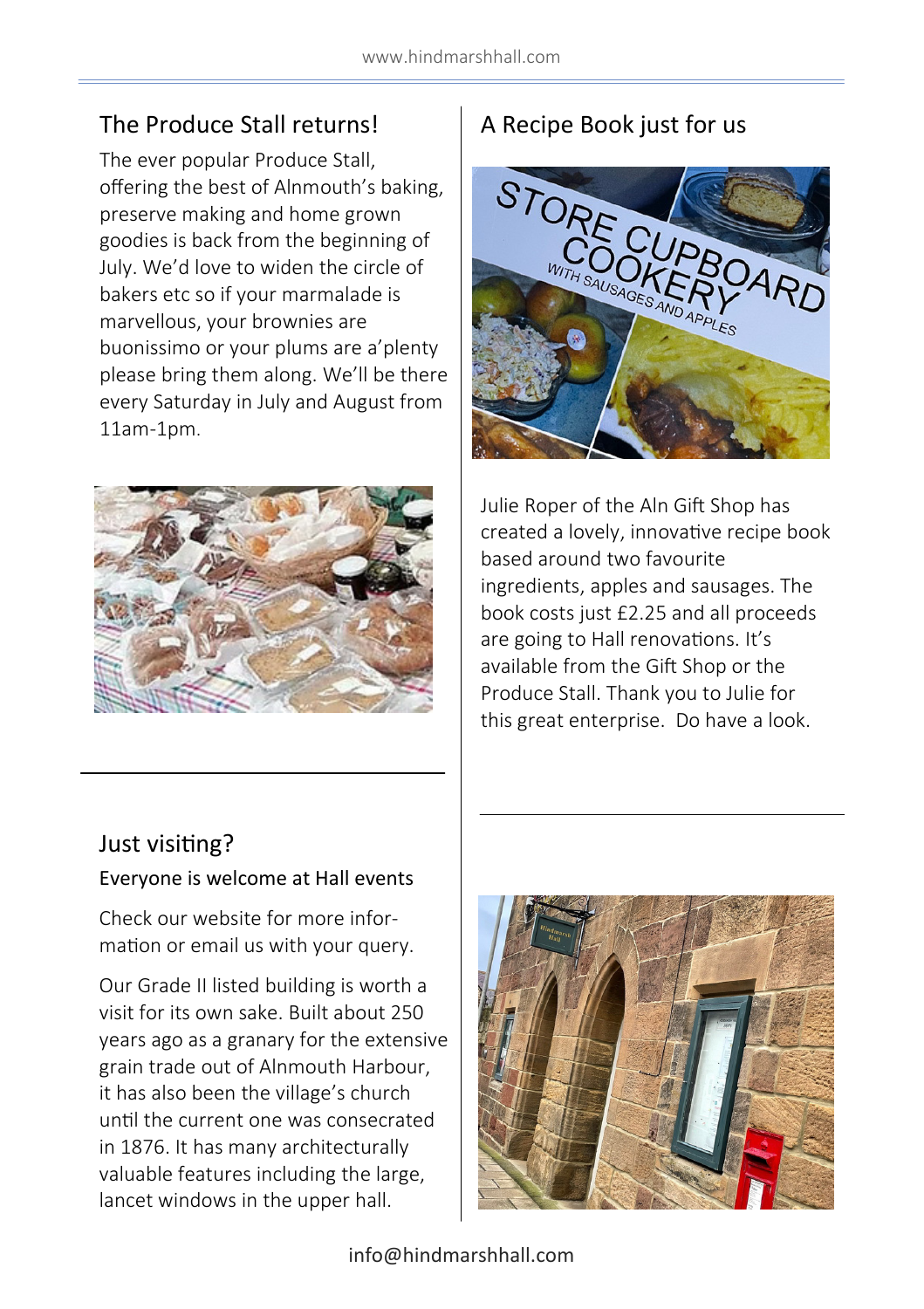#### The Produce Stall returns!

The ever popular Produce Stall, offering the best of Alnmouth's baking, preserve making and home grown goodies is back from the beginning of July. We'd love to widen the circle of bakers etc so if your marmalade is marvellous, your brownies are buonissimo or your plums are a'plenty please bring them along. We'll be there every Saturday in July and August from 11am-1pm.



## A Recipe Book just for us



Julie Roper of the Aln Gift Shop has created a lovely, innovative recipe book based around two favourite ingredients, apples and sausages. The book costs just £2.25 and all proceeds are going to Hall renovations. It's available from the Gift Shop or the Produce Stall. Thank you to Julie for this great enterprise. Do have a look.

#### Just visiting?

#### Everyone is welcome at Hall events

Check our website for more information or email us with your query.

Our Grade II listed building is worth a visit for its own sake. Built about 250 years ago as a granary for the extensive grain trade out of Alnmouth Harbour, it has also been the village's church until the current one was consecrated in 1876. It has many architecturally valuable features including the large, lancet windows in the upper hall.

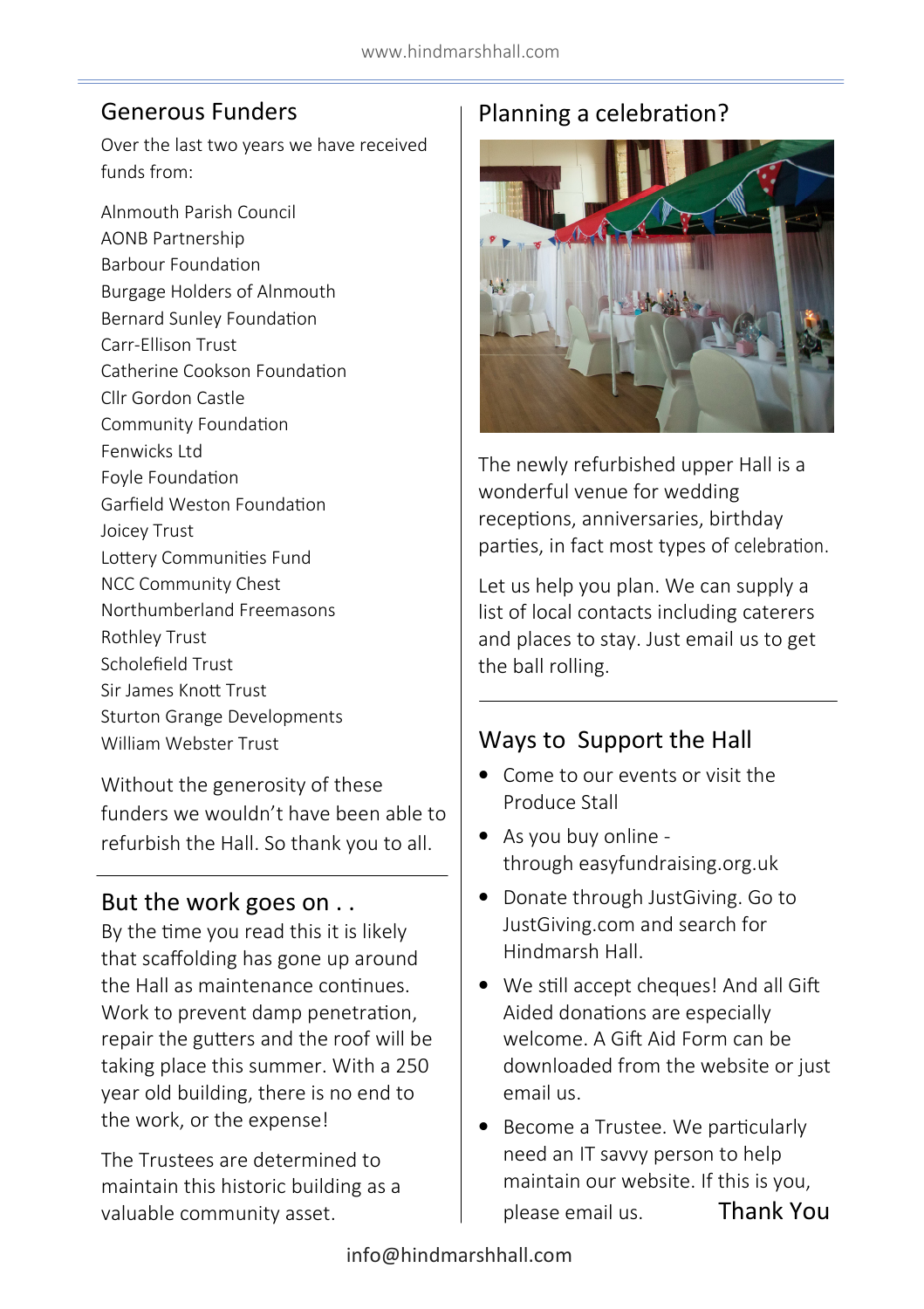#### Generous Funders

Over the last two years we have received funds from:

Alnmouth Parish Council AONB Partnership **Barbour Foundation** Burgage Holders of Alnmouth Bernard Sunley Foundation Carr-Ellison Trust Catherine Cookson Foundation Cllr Gordon Castle Community Foundation Fenwicks Ltd Foyle Foundation Garfield Weston Foundation Joicey Trust Lottery Communities Fund NCC Community Chest Northumberland Freemasons Rothley Trust Scholefield Trust Sir James Knott Trust Sturton Grange Developments William Webster Trust

Without the generosity of these funders we wouldn't have been able to refurbish the Hall. So thank you to all.

#### But the work goes on . .

By the time you read this it is likely that scaffolding has gone up around the Hall as maintenance continues. Work to prevent damp penetration, repair the gutters and the roof will be taking place this summer. With a 250 year old building, there is no end to the work, or the expense!

The Trustees are determined to maintain this historic building as a valuable community asset.

## Planning a celebration?



The newly refurbished upper Hall is a wonderful venue for wedding receptions, anniversaries, birthday parties, in fact most types of celebration.

Let us help you plan. We can supply a list of local contacts including caterers and places to stay. Just email us to get the ball rolling.

#### Ways to Support the Hall

- Come to our events or visit the Produce Stall
- As you buy online through easyfundraising.org.uk
- Donate through JustGiving. Go to JustGiving.com and search for Hindmarsh Hall.
- We still accept cheques! And all Gift Aided donations are especially welcome. A Gift Aid Form can be downloaded from the website or just email us.
- Become a Trustee. We particularly need an IT savvy person to help maintain our website. If this is you, please email us. Thank You